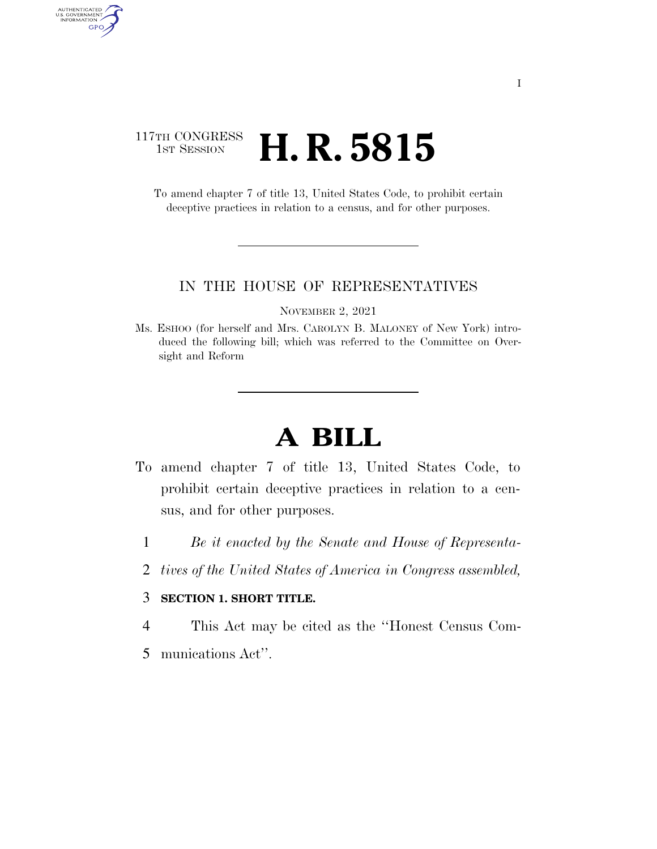## 117TH CONGRESS <sup>TH CONGRESS</sup> **H. R. 5815**

AUTHENTICATED<br>U.S. GOVERNMENT<br>INFORMATION

GPO

To amend chapter 7 of title 13, United States Code, to prohibit certain deceptive practices in relation to a census, and for other purposes.

## IN THE HOUSE OF REPRESENTATIVES

NOVEMBER 2, 2021

Ms. ESHOO (for herself and Mrs. CAROLYN B. MALONEY of New York) introduced the following bill; which was referred to the Committee on Oversight and Reform

## **A BILL**

- To amend chapter 7 of title 13, United States Code, to prohibit certain deceptive practices in relation to a census, and for other purposes.
	- 1 *Be it enacted by the Senate and House of Representa-*
	- 2 *tives of the United States of America in Congress assembled,*

## 3 **SECTION 1. SHORT TITLE.**

4 This Act may be cited as the ''Honest Census Com-

5 munications Act''.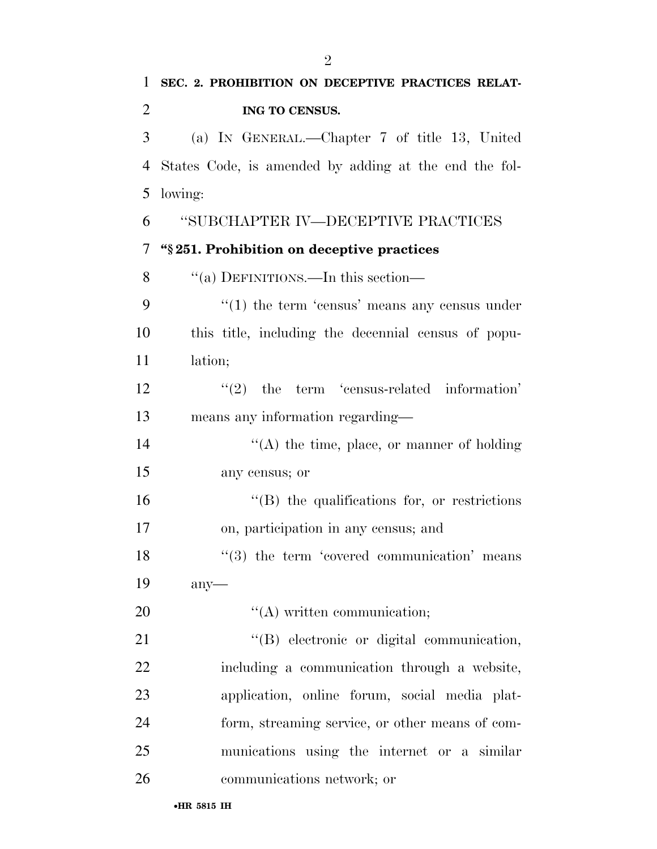| $\mathbf{1}$   | SEC. 2. PROHIBITION ON DECEPTIVE PRACTICES RELAT-        |
|----------------|----------------------------------------------------------|
| $\overline{2}$ | ING TO CENSUS.                                           |
| 3              | (a) IN GENERAL.—Chapter 7 of title 13, United            |
| $\overline{4}$ | States Code, is amended by adding at the end the fol-    |
| 5              | lowing:                                                  |
| 6              | "SUBCHAPTER IV—DECEPTIVE PRACTICES                       |
| $\overline{7}$ | "§251. Prohibition on deceptive practices                |
| 8              | "(a) DEFINITIONS.—In this section—                       |
| 9              | $\cdot\cdot(1)$ the term 'census' means any census under |
| 10             | this title, including the decennial census of popu-      |
| 11             | lation;                                                  |
| 12             | $(2)$ the term 'census-related information'              |
| 13             | means any information regarding-                         |
| 14             | $\lq\lq$ the time, place, or manner of holding           |
| 15             | any census; or                                           |
| 16             | $\lq\lq$ (B) the qualifications for, or restrictions     |
| 17             | on, participation in any census; and                     |
| 18             | $(3)$ the term 'covered communication' means             |
| 19             | any                                                      |
| 20             | $\lq\lq$ written communication;                          |
| 21             | "(B) electronic or digital communication,                |
| 22             | including a communication through a website,             |
| 23             | application, online forum, social media plat-            |
| 24             | form, streaming service, or other means of com-          |
| 25             | munications using the internet or a similar              |
| 26             | communications network; or                               |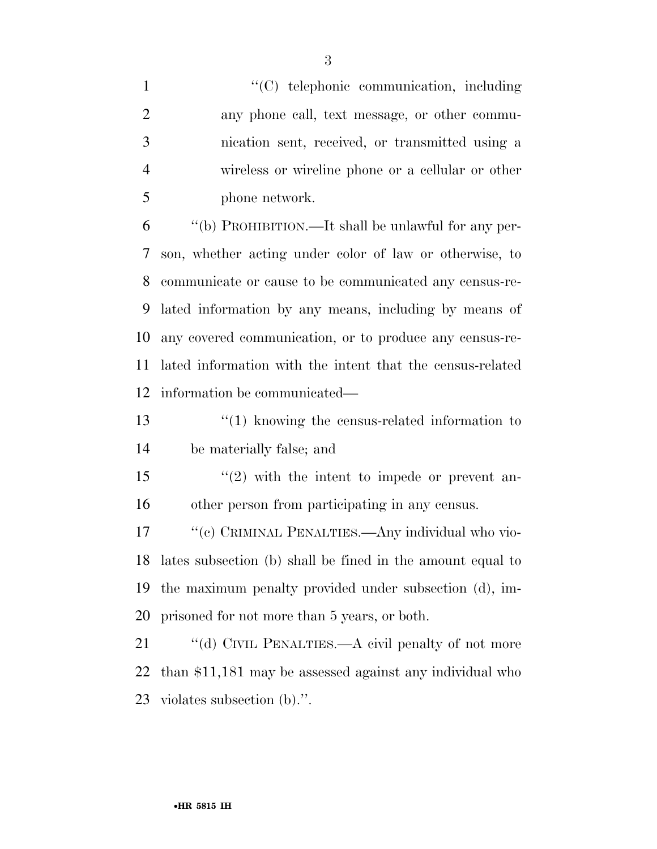$\cdot$  (C) telephonic communication, including any phone call, text message, or other commu- nication sent, received, or transmitted using a wireless or wireline phone or a cellular or other phone network.

 ''(b) PROHIBITION.—It shall be unlawful for any per- son, whether acting under color of law or otherwise, to communicate or cause to be communicated any census-re- lated information by any means, including by means of any covered communication, or to produce any census-re- lated information with the intent that the census-related information be communicated—

 ''(1) knowing the census-related information to be materially false; and

15 "(2) with the intent to impede or prevent an-other person from participating in any census.

17 "(c) CRIMINAL PENALTIES.—Any individual who vio- lates subsection (b) shall be fined in the amount equal to the maximum penalty provided under subsection (d), im-prisoned for not more than 5 years, or both.

21 "(d) CIVIL PENALTIES.—A civil penalty of not more than \$11,181 may be assessed against any individual who violates subsection (b).''.